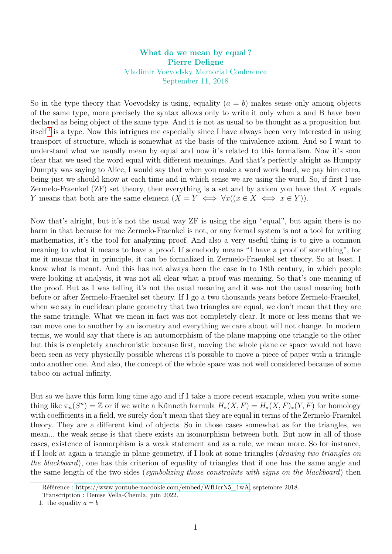## **What do we mean by equal ? Pierre Deligne** Vladimir Voevodsky Memorial Conference September 11, 2018

So in the type theory that Voevodsky is using, equality  $(a = b)$  makes sense only among objects of the same type, more precisely the syntax allows only to write it only when a and B have been declared as being object of the same type. And it is not as usual to be thought as a proposition but itself<sup>[1](#page-0-0)</sup> is a type. Now this intrigues me especially since I have always been very interested in using transport of structure, which is somewhat at the basis of the univalence axiom. And so I want to understand what we usually mean by equal and now it's related to this formalism. Now it's soon clear that we used the word equal with different meanings. And that's perfectly alright as Humpty Dumpty was saying to Alice, I would say that when you make a word work hard, we pay him extra, being just we should know at each time and in which sense we are using the word. So, if first I use Zermelo-Fraenkel (ZF) set theory, then everything is a set and by axiom you have that *X* equals *Y* means that both are the same element  $(X = Y \iff \forall x ((x \in X \iff x \in Y)).$ 

Now that's alright, but it's not the usual way ZF is using the sign "equal", but again there is no harm in that because for me Zermelo-Fraenkel is not, or any formal system is not a tool for writing mathematics, it's the tool for analyzing proof. And also a very useful thing is to give a common meaning to what it means to have a proof. If somebody means "I have a proof of something", for me it means that in principle, it can be formalized in Zermelo-Fraenkel set theory. So at least, I know what is meant. And this has not always been the case in to 18th century, in which people were looking at analysis, it was not all clear what a proof was meaning. So that's one meaning of the proof. But as I was telling it's not the usual meaning and it was not the usual meaning both before or after Zermelo-Fraenkel set theory. If I go a two thousands years before Zermelo-Fraenkel, when we say in euclidean plane geometry that two triangles are equal, we don't mean that they are the same triangle. What we mean in fact was not completely clear. It more or less means that we can move one to another by an isometry and everything we care about will not change. In modern terms, we would say that there is an automorphism of the plane mapping one triangle to the other but this is completely anachronistic because first, moving the whole plane or space would not have been seen as very physically possible whereas it's possible to move a piece of paper with a triangle onto another one. And also, the concept of the whole space was not well considered because of some taboo on actual infinity.

But so we have this form long time ago and if I take a more recent example, when you write something like  $\pi_n(S^n) = \mathbb{Z}$  or if we write a Künneth formula  $H_*(X, F) = H_*(X, F)_*(Y, F)$  for homology with coefficients in a field, we surely don't mean that they are equal in terms of the Zermelo-Fraenkel theory. They are a different kind of objects. So in those cases somewhat as for the triangles, we mean... the weak sense is that there exists an isomorphism between both. But now in all of those cases, existence of isomorphism is a weak statement and as a rule, we mean more. So for instance, if I look at again a triangle in plane geometry, if I look at some triangles (*drawing two triangles on the blackboard*), one has this criterion of equality of triangles that if one has the same angle and the same length of the two sides (*symbolizing those constraints with signs on the blackboard*) then

Référence : [https://www.youtube-nocookie.com/embed/WfDcrN5\\_1wA,](https://www.youtube-nocookie.com/embed/WfDcrN5_1wA) septembre 2018.

<span id="page-0-0"></span>Transcription : Denise Vella-Chemla, juin 2022.

<sup>1.</sup> the equality  $a = b$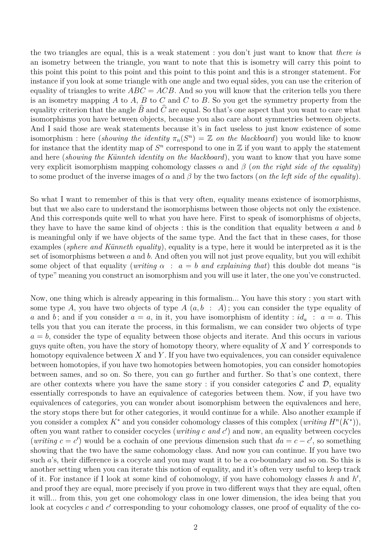the two triangles are equal, this is a weak statement : you don't just want to know that *there is* an isometry between the triangle, you want to note that this is isometry will carry this point to this point this point to this point and this point to this point and this is a stronger statement. For instance if you look at some triangle with one angle and two equal sides, you can use the criterion of equality of triangles to write  $ABC = ACB$ . And so you will know that the criterion tells you there is an isometry mapping *A* to *A*, *B* to *C* and *C* to *B*. So you get the symmetry property from the equality criterion that the angle  $\hat{B}$  and  $\hat{C}$  are equal. So that's one aspect that you want to care what isomorphisms you have between objects, because you also care about symmetries between objects. And I said those are weak statements because it's in fact useless to just know existence of some isomorphism : here (*showing the identity*  $\pi_n(S^n) = \mathbb{Z}$  *on the blackboard*) you would like to know for instance that the identity map of  $S<sup>n</sup>$  correspond to one in  $\mathbb Z$  if you want to apply the statement and here (*showing the Künnteh identity on the blackboard*), you want to know that you have some very explicit isomorphism mapping cohomology classes  $\alpha$  and  $\beta$  (*on the right side of the equality*) to some product of the inverse images of  $\alpha$  and  $\beta$  by the two factors (*on the left side of the equality*).

So what I want to remember of this is that very often, equality means existence of isomorphisms, but that we also care to understand the isomorphisms between those objects not only the existence. And this corresponds quite well to what you have here. First to speak of isomorphisms of objects, they have to have the same kind of objects : this is the condition that equality between *a* and *b* is meaningful only if we have objects of the same type. And the fact that in these cases, for those examples (*sphere and Künneth equality*), equality is a type, here it would be interpreted as it is the set of isomorphisms between *a* and *b*. And often you will not just prove equality, but you will exhibit some object of that equality (*writing*  $\alpha$  :  $a = b$  *and explaining that*) this double dot means "is of type" meaning you construct an isomorphism and you will use it later, the one you've constructed.

Now, one thing which is already appearing in this formalism... You have this story : you start with some type A, you have two objects of type  $A(a, b : A)$ ; you can consider the type equality of *a* and *b*; and if you consider  $a = a$ , in it, you have isomorphism of identity :  $id_a$  :  $a = a$ . This tells you that you can iterate the process, in this formalism, we can consider two objects of type  $a = b$ , consider the type of equality between those objects and iterate. And this occurs in various guys quite often, you have the story of homotopy theory, where equality of *X* and *Y* corresponds to homotopy equivalence between *X* and *Y* . If you have two equivalences, you can consider equivalence between homotopies, if you have two homotopies between homotopies, you can consider homotopies between sames, and so on. So there, you can go further and further. So that's one context, there are other contexts where you have the same story : if you consider categories  $\mathcal C$  and  $\mathcal D$ , equality essentially corresponds to have an equivalence of categories between them. Now, if you have two equivalences of categories, you can wonder about isomorphism between the equivalences and here, the story stops there but for other categories, it would continue for a while. Also another example if you consider a complex  $K^*$  and you consider cohomology classes of this complex  $(writing H<sup>n</sup>(K^*))$ , often you want rather to consider cocycles (*writing c and c* 0 ) and now, an equality between cocycles  $(writing \nc = c')$  would be a cochain of one previous dimension such that  $da = c - c'$ , so something showing that the two have the same cohomology class. And now you can continue. If you have two such *a*'s, their difference is a cocycle and you may want it to be a co-boundary and so on. So this is another setting when you can iterate this notion of equality, and it's often very useful to keep track of it. For instance if I look at some kind of cohomology, if you have cohomology classes *h* and *h'*, and proof they are equal, more precisely if you prove in two different ways that they are equal, often it will... from this, you get one cohomology class in one lower dimension, the idea being that you look at cocycles *c* and *c*<sup>'</sup> corresponding to your cohomology classes, one proof of equality of the co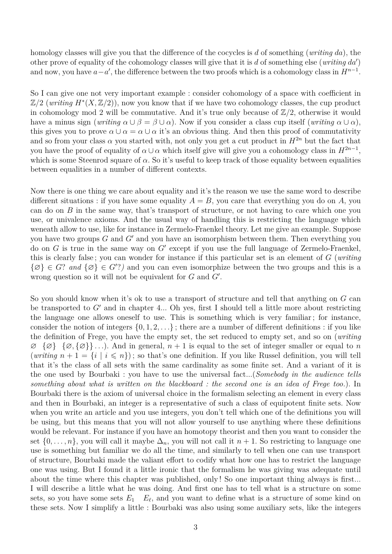homology classes will give you that the difference of the cocycles is *d* of something (*writing da*), the other prove of equality of the cohomology classes will give that it is  $d$  of something else (*writing*  $da'$ ) and now, you have  $a-a'$ , the difference between the two proofs which is a cohomology class in  $H^{n-1}$ .

So I can give one not very important example : consider cohomology of a space with coefficient in  $\mathbb{Z}/2$  (*writing*  $H^*(X,\mathbb{Z}/2)$ ), now you know that if we have two cohomology classes, the cup product in cohomology mod 2 will be commutative. And it's true only because of Z*/*2, otherwise it would have a minus sign (*writing*  $\alpha \cup \beta = \beta \cup \alpha$ ). Now if you consider a class cup itself (*writing*  $\alpha \cup \alpha$ ), this gives you to prove  $\alpha \cup \alpha = \alpha \cup \alpha$  it's an obvious thing. And then this proof of commutativity and so from your class  $\alpha$  you started with, not only you get a cut product in  $H^{2n}$  but the fact that you have the proof of equality of  $\alpha \cup \alpha$  which itself give will give you a cohomology class in  $H^{2n-1}$ , which is some Steenrod square of  $\alpha$ . So it's useful to keep track of those equality between equalities between equalities in a number of different contexts.

Now there is one thing we care about equality and it's the reason we use the same word to describe different situations : if you have some equality  $A = B$ , you care that everything you do on *A*, you can do on *B* in the same way, that's transport of structure, or not having to care which one you use, or univalence axioms. And the usual way of handling this is restricting the language which weneath allow to use, like for instance in Zermelo-Fraenkel theory. Let me give an example. Suppose you have two groups  $G$  and  $G'$  and you have an isomorphism between them. Then everything you do on  $G$  is true in the same way on  $G'$  except if you use the full language of Zermelo-Fraenkel, this is clearly false ; you can wonder for instance if this particular set is an element of *G* (*writing*  $\{\varnothing\} \in G$ ? *and*  $\{\varnothing\} \in G$ ?) and you can even isomorphize between the two groups and this is a wrong question so it will not be equivalent for  $G$  and  $G'$ .

So you should know when it's ok to use a transport of structure and tell that anything on *G* can be transported to  $G'$  and in chapter 4... Oh yes, first I should tell a little more about restricting the language one allows oneself to use. This is something which is very familiar ; for instance, consider the notion of integers  $\{0, 1, 2, \ldots\}$ ; there are a number of different definitions : if you like the definition of Frege, you have the empty set, the set reduced to empty set, and so on (*writing* ∅ {∅} {∅*,* {∅}} *. . .*). And in general, *n* + 1 is equal to the set of integer smaller or equal to *n* (*writing*  $n + 1 = \{i \mid i \leq n\}$ ); so that's one definition. If you like Russel definition, you will tell that it's the class of all sets with the same cardinality as some finite set. And a variant of it is the one used by Bourbaki : you have to use the universal fact...(*Somebody in the audience tells something about what is written on the blackboard : the second one is an idea of Frege too.*). In Bourbaki there is the axiom of universal choice in the formalism selecting an element in every class and then in Bourbaki, an integer is a representative of such a class of equipotent finite sets. Now when you write an article and you use integers, you don't tell which one of the definitions you will be using, but this means that you will not allow yourself to use anything where these definitions would be relevant. For instance if you have an homotopy theorist and then you want to consider the set  $\{0,\ldots,n\}$ , you will call it maybe  $\Delta_n$ , you will not call it  $n+1$ . So restricting to language one use is something but familiar we do all the time, and similarly to tell when one can use transport of structure, Bourbaki made the valiant effort to codify what how one has to restrict the language one was using. But I found it a little ironic that the formalism he was giving was adequate until about the time where this chapter was published, only ! So one important thing always is first... I will describe a little what he was doing. And first one has to tell what is a structure on some sets, so you have some sets  $E_1$   $E_\ell$ , and you want to define what is a structure of some kind on these sets. Now I simplify a little : Bourbaki was also using some auxiliary sets, like the integers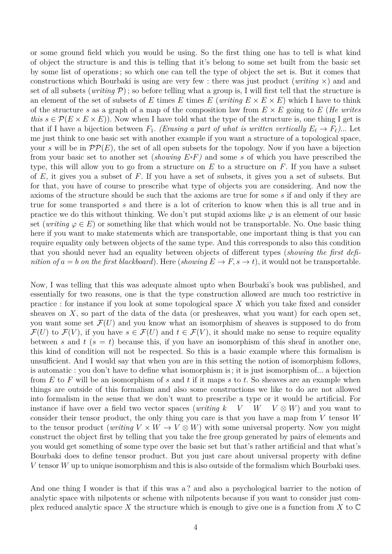or some ground field which you would be using. So the first thing one has to tell is what kind of object the structure is and this is telling that it's belong to some set built from the basic set by some list of operations ; so which one can tell the type of object the set is. But it comes that constructions which Bourbaki is using are very few : there was just product (*writing* ×) and and set of all subsets (*writing*  $\mathcal{P}$ ); so before telling what a group is, I will first tell that the structure is an element of the set of subsets of *E* times *E* (*writing*  $E \times E \times E$ ) which I have to think of the structure *s* as a graph of a map of the composition law from *E* × *E* going to *E* (*He writes this*  $s \in \mathcal{P}(E \times E \times E)$ . Now when I have told what the type of the structure is, one thing I get is that if I have a bijection between  $F_1$ . *(Erasing a part of what is written vertically*  $E_\ell \to F_\ell$ )... Let me just think to one basic set with another example if you want a structure of a topological space, your *s* will be in  $\mathcal{PP}(E)$ , the set of all open subsets for the topology. Now if you have a bijection from your basic set to another set (*showing EsF)* and some *s* of which you have prescribed the type, this will allow you to go from a structure on *E* to a structure on *F*. If you have a subset of *E*, it gives you a subset of *F*. If you have a set of subsets, it gives you a set of subsets. But for that, you have of course to prescribe what type of objects you are considering. And now the axioms of the structure should be such that the axioms are true for some *s* if and only if they are true for some transported *s* and there is a lot of criterion to know when this is all true and in practice we do this without thinking. We don't put stupid axioms like  $\varphi$  is an element of our basic set (*writing*  $\varphi \in E$ ) or something like that which would not be transportable. No. One basic thing here if you want to make statements which are transportable, one important thing is that you can require equality only between objects of the same type. And this corresponds to also this condition that you should never had an equality between objects of different types (*showing the first definition of*  $a = b$  *on the first blackboard*). Here (*showing*  $E \to F$ ,  $s \to t$ ), it would not be transportable.

Now, I was telling that this was adequate almost upto when Bourbaki's book was published, and essentially for two reasons, one is that the type construction allowed are much too restrictive in practice : for instance if you look at some topological space *X* which you take fixed and consider sheaves on  $X$ , so part of the data of the data (or presheaves, what you want) for each open set, you want some set  $\mathcal{F}(U)$  and you know what an isomorphism of sheaves is supposed to do from  $\mathcal{F}(U)$  to  $\mathcal{F}(V)$ , if you have  $s \in \mathcal{F}(U)$  and  $t \in \mathcal{F}(V)$ , it should make no sense to require equality between *s* and *t*  $(s = t)$  because this, if you have an isomorphism of this sheaf in another one, this kind of condition will not be respected. So this is a basic example where this formalism is unsufficient. And I would say that when you are in this setting the notion of isomorphism follows, is automatic : you don't have to define what isomorphism is ; it is just isomorphism of... a bijection from *E* to *F* will be an isomorphism of *s* and *t* if it maps *s* to *t*. So sheaves are an example when things are outside of this formalism and also some constructions we like to do are not allowed into formalism in the sense that we don't want to prescribe a type or it would be artificial. For instance if have over a field two vector spaces (*writing*  $k$  V W  $V \otimes W$ ) and you want to consider their tensor product, the only thing you care is that you have a map from *V* tensor *W* to the tensor product (*writing*  $V \times W \to V \otimes W$ ) with some universal property. Now you might construct the object first by telling that you take the free group generated by pairs of elements and you would get something of some type over the basic set but that's rather artificial and that what's Bourbaki does to define tensor product. But you just care about universal property with define *V* tensor *W* up to unique isomorphism and this is also outside of the formalism which Bourbaki uses.

And one thing I wonder is that if this was a? and also a psychological barrier to the notion of analytic space with nilpotents or scheme with nilpotents because if you want to consider just complex reduced analytic space *X* the structure which is enough to give one is a function from *X* to C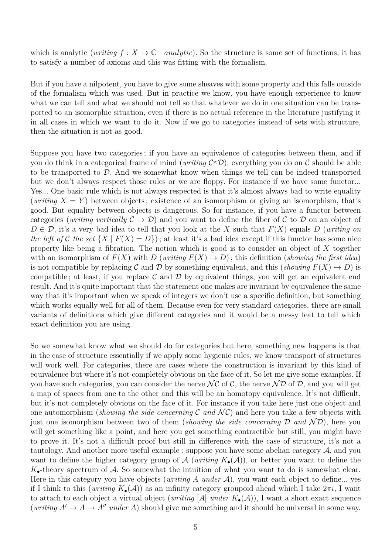which is analytic (*writing*  $f: X \to \mathbb{C}$  *analytic*). So the structure is some set of functions, it has to satisfy a number of axioms and this was fitting with the formalism.

But if you have a nilpotent, you have to give some sheaves with some property and this falls outside of the formalism which was used. But in practice we know, you have enough experience to know what we can tell and what we should not tell so that whatever we do in one situation can be transported to an isomorphic situation, even if there is no actual reference in the literature justifying it in all cases in which we want to do it. Now if we go to categories instead of sets with structure, then the situation is not as good.

Suppose you have two categories ; if you have an equivalence of categories between them, and if you do think in a categorical frame of mind (*writing*  $C \approx D$ ), everything you do on C should be able to be transported to  $\mathcal{D}$ . And we somewhat know when things we tell can be indeed transported but we don't always respect those rules or we are floppy. For instance if we have some functor... Yes... One basic rule which is not always respected is that it's almost always bad to write equality (*writing*  $X = Y$ ) between objects; existence of an isomorphism or giving an isomorphism, that's good. But equality between objects is dangerous. So for instance, if you have a functor between categories (*writing vertically*  $\mathcal{C} \to \mathcal{D}$ ) and you want to define the fiber of C to D on an object of  $D \in \mathcal{D}$ , it's a very bad idea to tell that you look at the *X* such that  $F(X)$  equals *D* (*writing on the left of* C *the set*  $\{X \mid F(X) = D\}$ ; at least it's a bad idea except if this functor has some nice property like being a fibration. The notion which is good is to consider an object of *X* together with an isomorphism of  $F(X)$  with  $D$  (*writing*  $F(X) \mapsto D$ ); this definition (*showing the first idea*) is not compatible by replacing C and D by something equivalent, and this (*showing*  $F(X) \to D$ ) is compatible; at least, if you replace  $\mathcal C$  and  $\mathcal D$  by equivalent things, you will get an equivalent end result. And it's quite important that the statement one makes are invariant by equivalence the same way that it's important when we speak of integers we don't use a specific definition, but something which works equally well for all of them. Because even for very standard categories, there are small variants of definitions which give different categories and it would be a messy feat to tell which exact definition you are using.

So we somewhat know what we should do for categories but here, something new happens is that in the case of structure essentially if we apply some hygienic rules, we know transport of structures will work well. For categories, there are cases where the construction is invariant by this kind of equivalence but where it's not completely obvious on the face of it. So let me give some examples. If you have such categories, you can consider the nerve  $\mathcal{NC}$  of C, the nerve  $\mathcal{ND}$  of D, and you will get a map of spaces from one to the other and this will be an homotopy equivalence. It's not difficult, but it's not completely obvious on the face of it. For instance if you take here just one object and one automorphism (*showing the side concerning*  $C$  *and*  $N C$ ) and here you take a few objects with just one isomorphism between two of them (*showing the side concerning*  $D$  *and*  $\mathcal{N}D$ ), here you will get something like a point, and here you get something contractible but still, you might have to prove it. It's not a difficult proof but still in difference with the case of structure, it's not a tautology. And another more useful example : suppose you have some abelian category  $A$ , and you want to define the higher category group of  $\mathcal A$  (*writing*  $K_{\bullet}(\mathcal A)$ ), or better you want to define the  $K_{\bullet}$ -theory spectrum of A. So somewhat the intuition of what you want to do is somewhat clear. Here in this category you have objects (*writing*  $\hat{A}$  *under*  $\hat{A}$ ), you want each object to define... yes if I think to this (*writing*  $K_{\bullet}(\mathcal{A})$ ) as an infinity category groupoid ahead which I take  $2\pi i$ , I want to attach to each object a virtual object (*writing* [A] *under*  $K_{\bullet}(\mathcal{A})$ ), I want a short exact sequence (*writing*  $A' \rightarrow A \rightarrow A''$  *under A*) should give me something and it should be universal in some way.